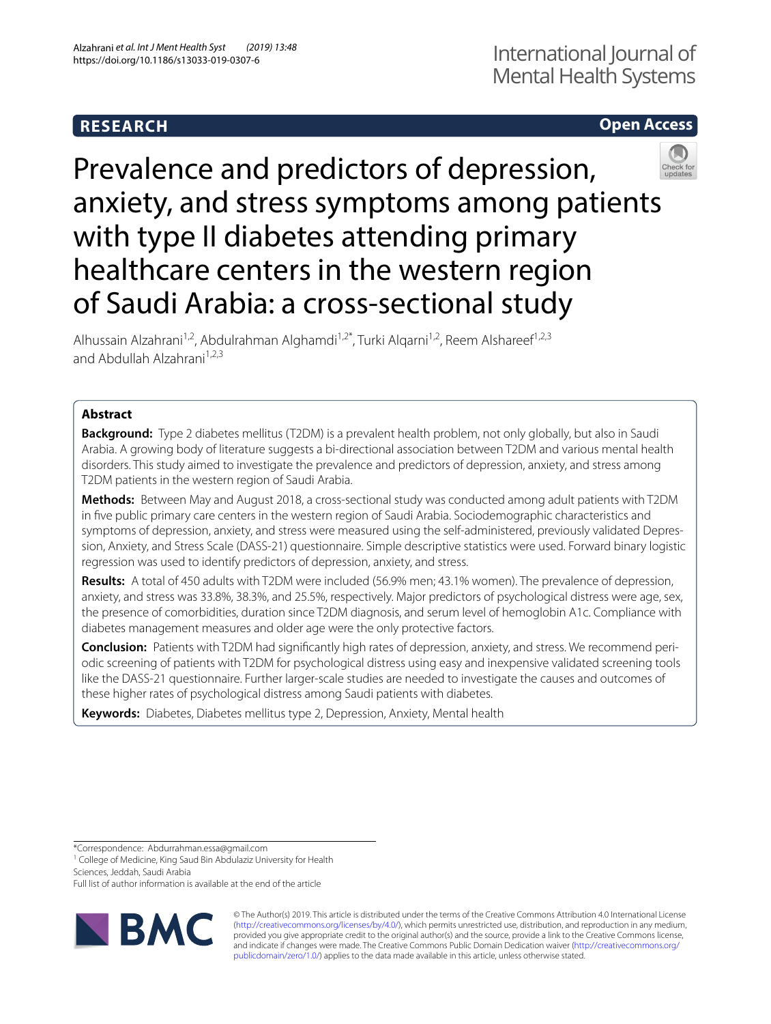# **RESEARCH**

# **Open Access**



Prevalence and predictors of depression, anxiety, and stress symptoms among patients with type II diabetes attending primary healthcare centers in the western region of Saudi Arabia: a cross-sectional study

Alhussain Alzahrani<sup>1,2</sup>, Abdulrahman Alghamdi<sup>1,2\*</sup>, Turki Algarni<sup>1,2</sup>, Reem Alshareef<sup>1,2,3</sup> and Abdullah Alzahrani $1,2,3$ 

# **Abstract**

**Background:** Type 2 diabetes mellitus (T2DM) is a prevalent health problem, not only globally, but also in Saudi Arabia. A growing body of literature suggests a bi-directional association between T2DM and various mental health disorders. This study aimed to investigate the prevalence and predictors of depression, anxiety, and stress among T2DM patients in the western region of Saudi Arabia.

**Methods:** Between May and August 2018, a cross-sectional study was conducted among adult patients with T2DM in fve public primary care centers in the western region of Saudi Arabia. Sociodemographic characteristics and symptoms of depression, anxiety, and stress were measured using the self-administered, previously validated Depression, Anxiety, and Stress Scale (DASS-21) questionnaire. Simple descriptive statistics were used. Forward binary logistic regression was used to identify predictors of depression, anxiety, and stress.

**Results:** A total of 450 adults with T2DM were included (56.9% men; 43.1% women). The prevalence of depression, anxiety, and stress was 33.8%, 38.3%, and 25.5%, respectively. Major predictors of psychological distress were age, sex, the presence of comorbidities, duration since T2DM diagnosis, and serum level of hemoglobin A1c. Compliance with diabetes management measures and older age were the only protective factors.

**Conclusion:** Patients with T2DM had signifcantly high rates of depression, anxiety, and stress. We recommend periodic screening of patients with T2DM for psychological distress using easy and inexpensive validated screening tools like the DASS-21 questionnaire. Further larger-scale studies are needed to investigate the causes and outcomes of these higher rates of psychological distress among Saudi patients with diabetes.

**Keywords:** Diabetes, Diabetes mellitus type 2, Depression, Anxiety, Mental health

\*Correspondence: Abdurrahman.essa@gmail.com

<sup>1</sup> College of Medicine, King Saud Bin Abdulaziz University for Health

Sciences, Jeddah, Saudi Arabia

Full list of author information is available at the end of the article



© The Author(s) 2019. This article is distributed under the terms of the Creative Commons Attribution 4.0 International License [\(http://creativecommons.org/licenses/by/4.0/\)](http://creativecommons.org/licenses/by/4.0/), which permits unrestricted use, distribution, and reproduction in any medium, provided you give appropriate credit to the original author(s) and the source, provide a link to the Creative Commons license, and indicate if changes were made. The Creative Commons Public Domain Dedication waiver ([http://creativecommons.org/](http://creativecommons.org/publicdomain/zero/1.0/) [publicdomain/zero/1.0/](http://creativecommons.org/publicdomain/zero/1.0/)) applies to the data made available in this article, unless otherwise stated.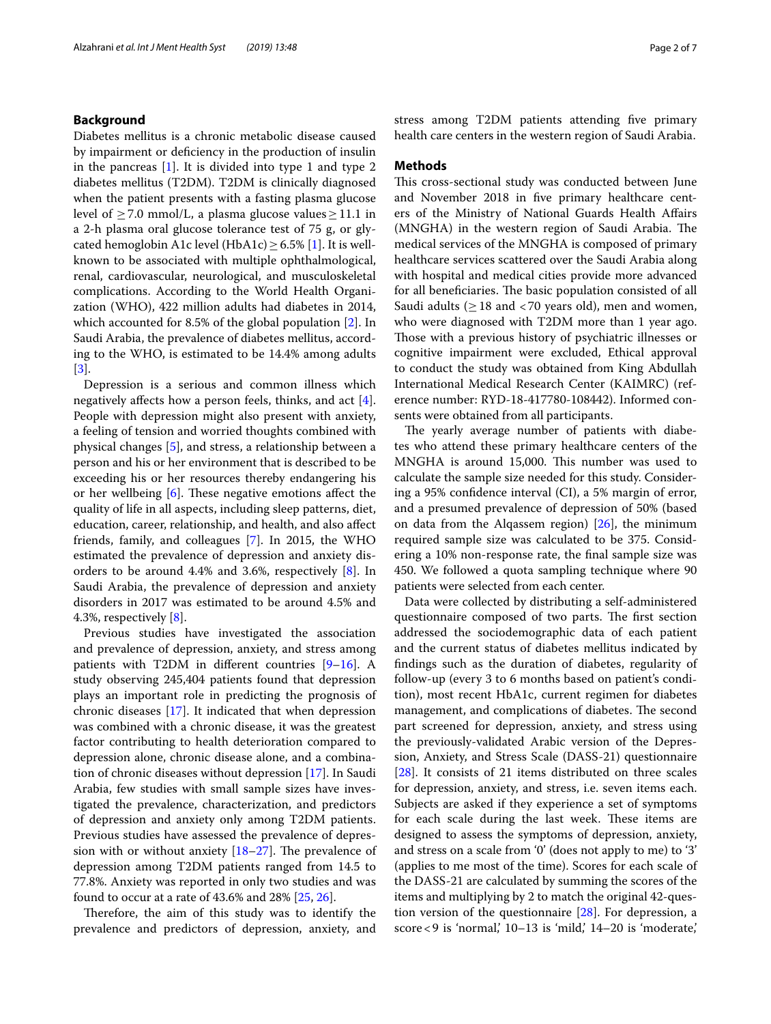## **Background**

Diabetes mellitus is a chronic metabolic disease caused by impairment or defciency in the production of insulin in the pancreas [\[1\]](#page-5-0). It is divided into type 1 and type 2 diabetes mellitus (T2DM). T2DM is clinically diagnosed when the patient presents with a fasting plasma glucose level of  $>$  7.0 mmol/L, a plasma glucose values  $>$  11.1 in a 2-h plasma oral glucose tolerance test of 75 g, or glycated hemoglobin A1c level (HbA1c)  $> 6.5\%$  [[1\]](#page-5-0). It is wellknown to be associated with multiple ophthalmological, renal, cardiovascular, neurological, and musculoskeletal complications. According to the World Health Organization (WHO), 422 million adults had diabetes in 2014, which accounted for 8.5% of the global population [[2\]](#page-5-1). In Saudi Arabia, the prevalence of diabetes mellitus, according to the WHO, is estimated to be 14.4% among adults [[3\]](#page-5-2).

Depression is a serious and common illness which negatively afects how a person feels, thinks, and act [\[4](#page-5-3)]. People with depression might also present with anxiety, a feeling of tension and worried thoughts combined with physical changes [\[5](#page-5-4)], and stress, a relationship between a person and his or her environment that is described to be exceeding his or her resources thereby endangering his or her wellbeing  $[6]$  $[6]$ . These negative emotions affect the quality of life in all aspects, including sleep patterns, diet, education, career, relationship, and health, and also afect friends, family, and colleagues [\[7](#page-5-6)]. In 2015, the WHO estimated the prevalence of depression and anxiety disorders to be around 4.4% and 3.6%, respectively [[8\]](#page-5-7). In Saudi Arabia, the prevalence of depression and anxiety disorders in 2017 was estimated to be around 4.5% and 4.3%, respectively [\[8\]](#page-5-7).

Previous studies have investigated the association and prevalence of depression, anxiety, and stress among patients with T2DM in different countries  $[9-16]$  $[9-16]$ . A study observing 245,404 patients found that depression plays an important role in predicting the prognosis of chronic diseases [\[17\]](#page-6-1). It indicated that when depression was combined with a chronic disease, it was the greatest factor contributing to health deterioration compared to depression alone, chronic disease alone, and a combination of chronic diseases without depression [\[17\]](#page-6-1). In Saudi Arabia, few studies with small sample sizes have investigated the prevalence, characterization, and predictors of depression and anxiety only among T2DM patients. Previous studies have assessed the prevalence of depression with or without anxiety  $[18–27]$  $[18–27]$  $[18–27]$ . The prevalence of depression among T2DM patients ranged from 14.5 to 77.8%. Anxiety was reported in only two studies and was found to occur at a rate of 43.6% and 28% [\[25](#page-6-4), [26](#page-6-5)].

Therefore, the aim of this study was to identify the prevalence and predictors of depression, anxiety, and stress among T2DM patients attending five primary health care centers in the western region of Saudi Arabia.

## **Methods**

This cross-sectional study was conducted between June and November 2018 in fve primary healthcare centers of the Ministry of National Guards Health Afairs (MNGHA) in the western region of Saudi Arabia. The medical services of the MNGHA is composed of primary healthcare services scattered over the Saudi Arabia along with hospital and medical cities provide more advanced for all beneficiaries. The basic population consisted of all Saudi adults ( $\geq$  18 and <70 years old), men and women, who were diagnosed with T2DM more than 1 year ago. Those with a previous history of psychiatric illnesses or cognitive impairment were excluded, Ethical approval to conduct the study was obtained from King Abdullah International Medical Research Center (KAIMRC) (reference number: RYD-18-417780-108442). Informed consents were obtained from all participants.

The yearly average number of patients with diabetes who attend these primary healthcare centers of the MNGHA is around 15,000. This number was used to calculate the sample size needed for this study. Considering a 95% confdence interval (CI), a 5% margin of error, and a presumed prevalence of depression of 50% (based on data from the Alqassem region)  $[26]$  $[26]$ , the minimum required sample size was calculated to be 375. Considering a 10% non-response rate, the fnal sample size was 450. We followed a quota sampling technique where 90 patients were selected from each center.

Data were collected by distributing a self-administered questionnaire composed of two parts. The first section addressed the sociodemographic data of each patient and the current status of diabetes mellitus indicated by fndings such as the duration of diabetes, regularity of follow-up (every 3 to 6 months based on patient's condition), most recent HbA1c, current regimen for diabetes management, and complications of diabetes. The second part screened for depression, anxiety, and stress using the previously-validated Arabic version of the Depression, Anxiety, and Stress Scale (DASS-21) questionnaire [[28\]](#page-6-6). It consists of 21 items distributed on three scales for depression, anxiety, and stress, i.e. seven items each. Subjects are asked if they experience a set of symptoms for each scale during the last week. These items are designed to assess the symptoms of depression, anxiety, and stress on a scale from '0' (does not apply to me) to '3' (applies to me most of the time). Scores for each scale of the DASS-21 are calculated by summing the scores of the items and multiplying by 2 to match the original 42-question version of the questionnaire [\[28](#page-6-6)]. For depression, a score < 9 is 'normal,' 10–13 is 'mild,' 14–20 is 'moderate,'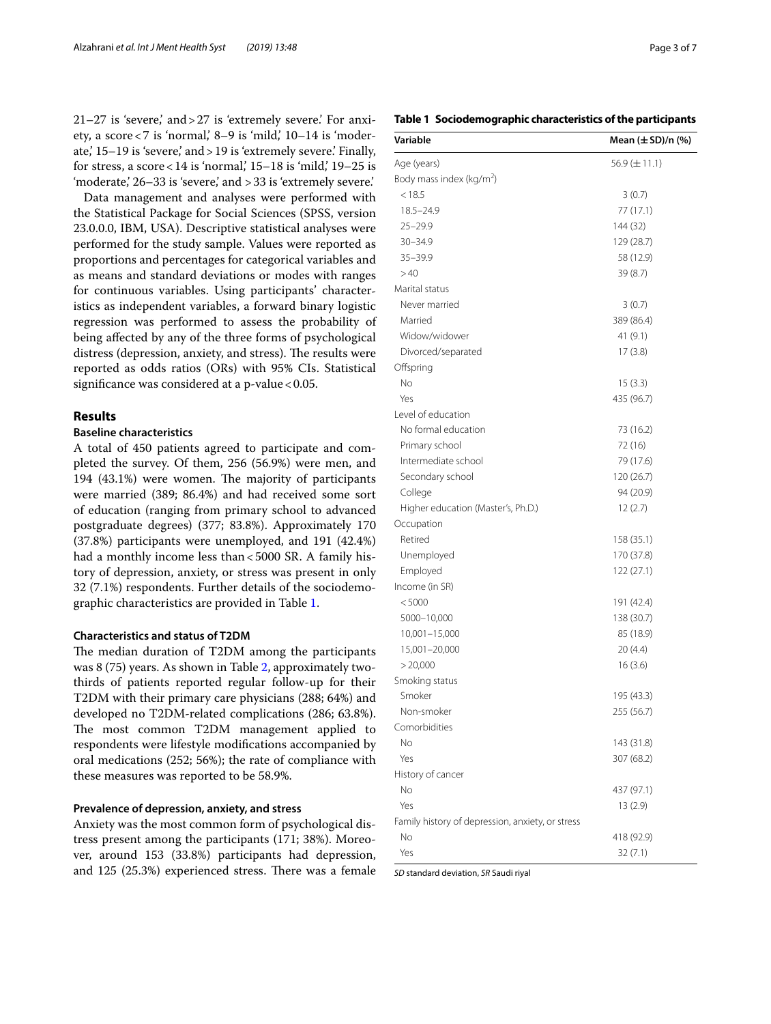21–27 is 'severe,' and>27 is 'extremely severe.' For anxiety, a score $<$ 7 is 'normal, 8–9 is 'mild, 10–14 is 'moderate,' 15–19 is 'severe,' and>19 is 'extremely severe.' Finally, for stress, a score <  $14$  is 'normal,'  $15-18$  is 'mild,'  $19-25$  is 'moderate,' 26–33 is 'severe,' and >33 is 'extremely severe.'

Data management and analyses were performed with the Statistical Package for Social Sciences (SPSS, version 23.0.0.0, IBM, USA). Descriptive statistical analyses were performed for the study sample. Values were reported as proportions and percentages for categorical variables and as means and standard deviations or modes with ranges for continuous variables. Using participants' characteristics as independent variables, a forward binary logistic regression was performed to assess the probability of being afected by any of the three forms of psychological distress (depression, anxiety, and stress). The results were reported as odds ratios (ORs) with 95% CIs. Statistical significance was considered at a  $p$ -value < 0.05.

# **Results**

## **Baseline characteristics**

A total of 450 patients agreed to participate and completed the survey. Of them, 256 (56.9%) were men, and 194 (43.1%) were women. The majority of participants were married (389; 86.4%) and had received some sort of education (ranging from primary school to advanced postgraduate degrees) (377; 83.8%). Approximately 170 (37.8%) participants were unemployed, and 191 (42.4%) had a monthly income less than <5000 SR. A family history of depression, anxiety, or stress was present in only 32 (7.1%) respondents. Further details of the sociodemographic characteristics are provided in Table [1.](#page-2-0)

## **Characteristics and status of T2DM**

The median duration of T2DM among the participants was 8 (75) years. As shown in Table [2,](#page-3-0) approximately twothirds of patients reported regular follow-up for their T2DM with their primary care physicians (288; 64%) and developed no T2DM-related complications (286; 63.8%). The most common T2DM management applied to respondents were lifestyle modifcations accompanied by oral medications (252; 56%); the rate of compliance with these measures was reported to be 58.9%.

### **Prevalence of depression, anxiety, and stress**

Anxiety was the most common form of psychological distress present among the participants (171; 38%). Moreover, around 153 (33.8%) participants had depression, and  $125$   $(25.3%)$  experienced stress. There was a female

## <span id="page-2-0"></span>**Table 1 Sociodemographic characteristics of the participants**

| Variable                                         | Mean $(\pm SD)/n$ (%) |  |
|--------------------------------------------------|-----------------------|--|
| Age (years)                                      | 56.9 $(\pm 11.1)$     |  |
| Body mass index (kg/m <sup>2</sup> )             |                       |  |
| < 18.5                                           | 3(0.7)                |  |
| $18.5 - 24.9$                                    | 77 (17.1)             |  |
| $25 - 29.9$                                      | 144 (32)              |  |
| $30 - 34.9$                                      | 129 (28.7)            |  |
| 35-39.9                                          | 58 (12.9)             |  |
| >40                                              | 39 (8.7)              |  |
| Marital status                                   |                       |  |
| Never married                                    | 3(0.7)                |  |
| Married                                          | 389 (86.4)            |  |
| Widow/widower                                    | 41 (9.1)              |  |
| Divorced/separated                               | 17(3.8)               |  |
| Offspring                                        |                       |  |
| No                                               | 15(3.3)               |  |
| Yes                                              | 435 (96.7)            |  |
| Level of education                               |                       |  |
| No formal education                              | 73 (16.2)             |  |
| Primary school                                   | 72 (16)               |  |
| Intermediate school                              | 79 (17.6)             |  |
| Secondary school                                 | 120 (26.7)            |  |
| College                                          | 94 (20.9)             |  |
| Higher education (Master's, Ph.D.)               | 12(2.7)               |  |
| Occupation                                       |                       |  |
| Retired                                          | 158 (35.1)            |  |
| Unemployed                                       | 170 (37.8)            |  |
| Employed                                         | 122 (27.1)            |  |
| Income (in SR)                                   |                       |  |
| < 5000                                           | 191 (42.4)            |  |
| 5000-10,000                                      | 138 (30.7)            |  |
| 10,001-15,000                                    | 85 (18.9)             |  |
| 15,001-20,000                                    | 20(4.4)               |  |
| > 20,000                                         | 16(3.6)               |  |
| Smoking status                                   |                       |  |
| Smoker                                           | 195 (43.3)            |  |
| Non-smoker                                       | 255 (56.7)            |  |
| Comorbidities                                    |                       |  |
| No                                               | 143 (31.8)            |  |
| Yes                                              | 307 (68.2)            |  |
| History of cancer                                |                       |  |
| No                                               | 437 (97.1)            |  |
| Yes                                              | 13(2.9)               |  |
| Family history of depression, anxiety, or stress |                       |  |
| No                                               | 418 (92.9)            |  |
| Yes                                              | 32(7.1)               |  |

*SD* standard deviation, *SR* Saudi riyal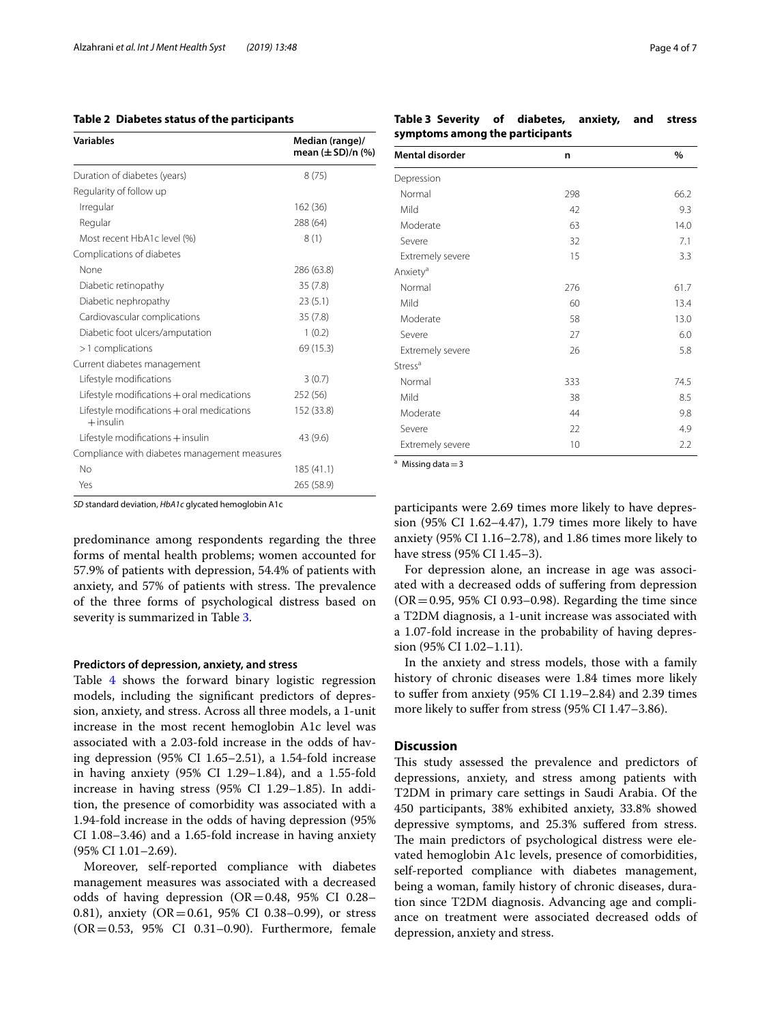## <span id="page-3-0"></span>**Table 2 Diabetes status of the participants**

| <b>Variables</b>                                          | Median (range)/<br>mean (±SD)/n (%) |
|-----------------------------------------------------------|-------------------------------------|
| Duration of diabetes (years)                              | 8(75)                               |
| Regularity of follow up                                   |                                     |
| Irregular                                                 | 162 (36)                            |
| Regular                                                   | 288 (64)                            |
| Most recent HbA1c level (%)                               | 8(1)                                |
| Complications of diabetes                                 |                                     |
| None                                                      | 286 (63.8)                          |
| Diabetic retinopathy                                      | 35(7.8)                             |
| Diabetic nephropathy                                      | 23(5.1)                             |
| Cardiovascular complications                              | 35(7.8)                             |
| Diabetic foot ulcers/amputation                           | 1(0.2)                              |
| >1 complications                                          | 69 (15.3)                           |
| Current diabetes management                               |                                     |
| Lifestyle modifications                                   | 3(0.7)                              |
| Lifestyle modifications + oral medications                | 252 (56)                            |
| Lifestyle modifications + oral medications<br>$+$ insulin | 152 (33.8)                          |
| Lifestyle modifications + insulin                         | 43 (9.6)                            |
| Compliance with diabetes management measures              |                                     |
| No                                                        | 185 (41.1)                          |
| Yes                                                       | 265 (58.9)                          |

*SD* standard deviation, *HbA1c* glycated hemoglobin A1c

predominance among respondents regarding the three forms of mental health problems; women accounted for 57.9% of patients with depression, 54.4% of patients with anxiety, and 57% of patients with stress. The prevalence of the three forms of psychological distress based on severity is summarized in Table [3](#page-3-1).

### **Predictors of depression, anxiety, and stress**

Table [4](#page-4-0) shows the forward binary logistic regression models, including the signifcant predictors of depression, anxiety, and stress. Across all three models, a 1-unit increase in the most recent hemoglobin A1c level was associated with a 2.03-fold increase in the odds of having depression (95% CI 1.65–2.51), a 1.54-fold increase in having anxiety (95% CI 1.29–1.84), and a 1.55-fold increase in having stress (95% CI 1.29–1.85). In addition, the presence of comorbidity was associated with a 1.94-fold increase in the odds of having depression (95% CI 1.08–3.46) and a 1.65-fold increase in having anxiety (95% CI 1.01–2.69).

Moreover, self-reported compliance with diabetes management measures was associated with a decreased odds of having depression  $(OR=0.48, 95\% \text{ CI } 0.28-$ 0.81), anxiety (OR=0.61, 95% CI 0.38–0.99), or stress (OR=0.53, 95% CI 0.31–0.90). Furthermore, female

<span id="page-3-1"></span>**Table 3 Severity of diabetes, anxiety, and stress symptoms among the participants**

| <b>Mental disorder</b> | n   | %    |
|------------------------|-----|------|
| Depression             |     |      |
| Normal                 | 298 | 66.2 |
| Mild                   | 42  | 9.3  |
| Moderate               | 63  | 14.0 |
| Severe                 | 32  | 7.1  |
| Extremely severe       | 15  | 3.3  |
| Anxiety <sup>a</sup>   |     |      |
| Normal                 | 276 | 61.7 |
| Mild                   | 60  | 13.4 |
| Moderate               | 58  | 13.0 |
| Severe                 | 27  | 6.0  |
| Extremely severe       | 26  | 5.8  |
| Stress <sup>a</sup>    |     |      |
| Normal                 | 333 | 74.5 |
| Mild                   | 38  | 8.5  |
| Moderate               | 44  | 9.8  |
| Severe                 | 22  | 4.9  |
| Extremely severe       | 10  | 2.2  |

<sup>a</sup> Missing data $=$ 3

participants were 2.69 times more likely to have depression (95% CI 1.62–4.47), 1.79 times more likely to have anxiety (95% CI 1.16–2.78), and 1.86 times more likely to have stress (95% CI 1.45–3).

For depression alone, an increase in age was associated with a decreased odds of sufering from depression  $(OR = 0.95, 95\% \text{ CI } 0.93 - 0.98)$ . Regarding the time since a T2DM diagnosis, a 1-unit increase was associated with a 1.07-fold increase in the probability of having depression (95% CI 1.02–1.11).

In the anxiety and stress models, those with a family history of chronic diseases were 1.84 times more likely to sufer from anxiety (95% CI 1.19–2.84) and 2.39 times more likely to suffer from stress (95% CI 1.47-3.86).

## **Discussion**

This study assessed the prevalence and predictors of depressions, anxiety, and stress among patients with T2DM in primary care settings in Saudi Arabia. Of the 450 participants, 38% exhibited anxiety, 33.8% showed depressive symptoms, and 25.3% sufered from stress. The main predictors of psychological distress were elevated hemoglobin A1c levels, presence of comorbidities, self-reported compliance with diabetes management, being a woman, family history of chronic diseases, duration since T2DM diagnosis. Advancing age and compliance on treatment were associated decreased odds of depression, anxiety and stress.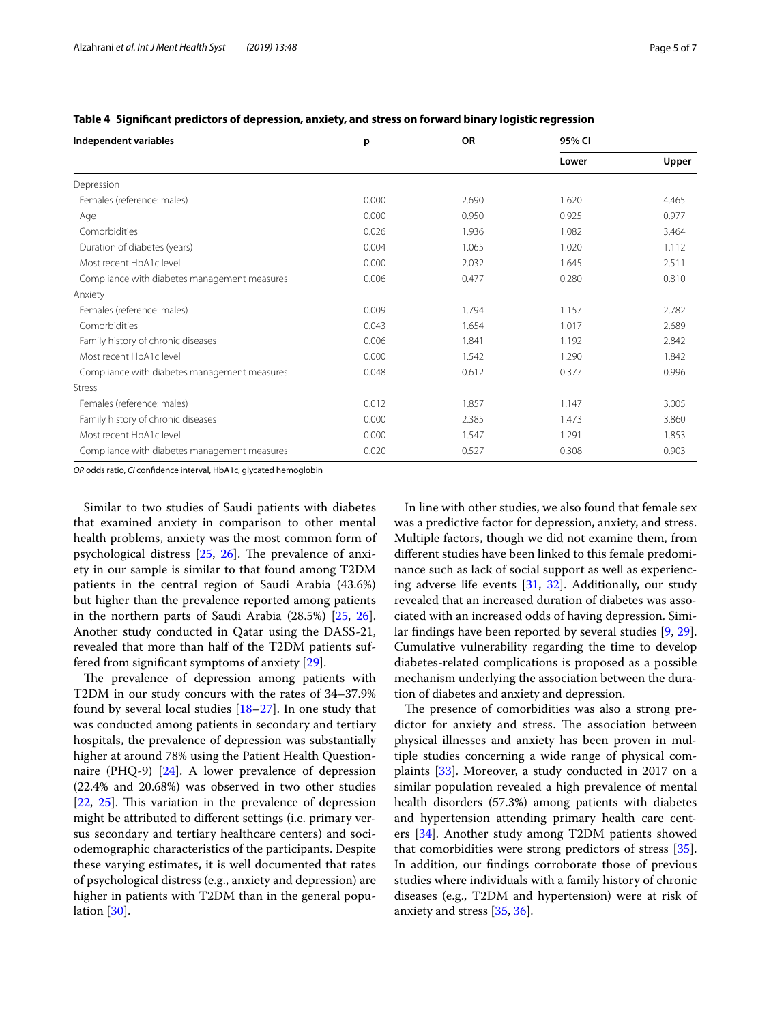| Independent variables                        | p     | <b>OR</b> | 95% CI |       |
|----------------------------------------------|-------|-----------|--------|-------|
|                                              |       |           | Lower  | Upper |
| Depression                                   |       |           |        |       |
| Females (reference: males)                   | 0.000 | 2.690     | 1.620  | 4.465 |
| Age                                          | 0.000 | 0.950     | 0.925  | 0.977 |
| Comorbidities                                | 0.026 | 1.936     | 1.082  | 3.464 |
| Duration of diabetes (years)                 | 0.004 | 1.065     | 1.020  | 1.112 |
| Most recent HbA1c level                      | 0.000 | 2.032     | 1.645  | 2.511 |
| Compliance with diabetes management measures | 0.006 | 0.477     | 0.280  | 0.810 |
| Anxiety                                      |       |           |        |       |
| Females (reference: males)                   | 0.009 | 1.794     | 1.157  | 2.782 |
| Comorbidities                                | 0.043 | 1.654     | 1.017  | 2.689 |
| Family history of chronic diseases           | 0.006 | 1.841     | 1.192  | 2.842 |
| Most recent HbA1c level                      | 0.000 | 1.542     | 1.290  | 1.842 |
| Compliance with diabetes management measures | 0.048 | 0.612     | 0.377  | 0.996 |
| <b>Stress</b>                                |       |           |        |       |
| Females (reference: males)                   | 0.012 | 1.857     | 1.147  | 3.005 |
| Family history of chronic diseases           | 0.000 | 2.385     | 1.473  | 3.860 |
| Most recent HbA1c level                      | 0.000 | 1.547     | 1.291  | 1.853 |
| Compliance with diabetes management measures | 0.020 | 0.527     | 0.308  | 0.903 |

<span id="page-4-0"></span>**Table 4 Signifcant predictors of depression, anxiety, and stress on forward binary logistic regression**

*OR* odds ratio, *CI* confdence interval, HbA1c, glycated hemoglobin

Similar to two studies of Saudi patients with diabetes that examined anxiety in comparison to other mental health problems, anxiety was the most common form of psychological distress  $[25, 26]$  $[25, 26]$  $[25, 26]$  $[25, 26]$ . The prevalence of anxiety in our sample is similar to that found among T2DM patients in the central region of Saudi Arabia (43.6%) but higher than the prevalence reported among patients in the northern parts of Saudi Arabia (28.5%) [\[25](#page-6-4), [26](#page-6-5)]. Another study conducted in Qatar using the DASS-21, revealed that more than half of the T2DM patients suffered from signifcant symptoms of anxiety [[29\]](#page-6-7).

The prevalence of depression among patients with T2DM in our study concurs with the rates of 34–37.9% found by several local studies  $[18–27]$  $[18–27]$ . In one study that was conducted among patients in secondary and tertiary hospitals, the prevalence of depression was substantially higher at around 78% using the Patient Health Questionnaire (PHQ-9) [[24\]](#page-6-8). A lower prevalence of depression (22.4% and 20.68%) was observed in two other studies  $[22, 25]$  $[22, 25]$  $[22, 25]$  $[22, 25]$ . This variation in the prevalence of depression might be attributed to diferent settings (i.e. primary versus secondary and tertiary healthcare centers) and sociodemographic characteristics of the participants. Despite these varying estimates, it is well documented that rates of psychological distress (e.g., anxiety and depression) are higher in patients with T2DM than in the general population [[30](#page-6-10)].

In line with other studies, we also found that female sex was a predictive factor for depression, anxiety, and stress. Multiple factors, though we did not examine them, from diferent studies have been linked to this female predominance such as lack of social support as well as experiencing adverse life events [\[31](#page-6-11), [32](#page-6-12)]. Additionally, our study revealed that an increased duration of diabetes was associated with an increased odds of having depression. Similar fndings have been reported by several studies [\[9](#page-5-8), [29](#page-6-7)]. Cumulative vulnerability regarding the time to develop diabetes-related complications is proposed as a possible mechanism underlying the association between the duration of diabetes and anxiety and depression.

The presence of comorbidities was also a strong predictor for anxiety and stress. The association between physical illnesses and anxiety has been proven in multiple studies concerning a wide range of physical complaints [\[33\]](#page-6-13). Moreover, a study conducted in 2017 on a similar population revealed a high prevalence of mental health disorders (57.3%) among patients with diabetes and hypertension attending primary health care centers [[34\]](#page-6-14). Another study among T2DM patients showed that comorbidities were strong predictors of stress [\[35](#page-6-15)]. In addition, our fndings corroborate those of previous studies where individuals with a family history of chronic diseases (e.g., T2DM and hypertension) were at risk of anxiety and stress [\[35](#page-6-15), [36\]](#page-6-16).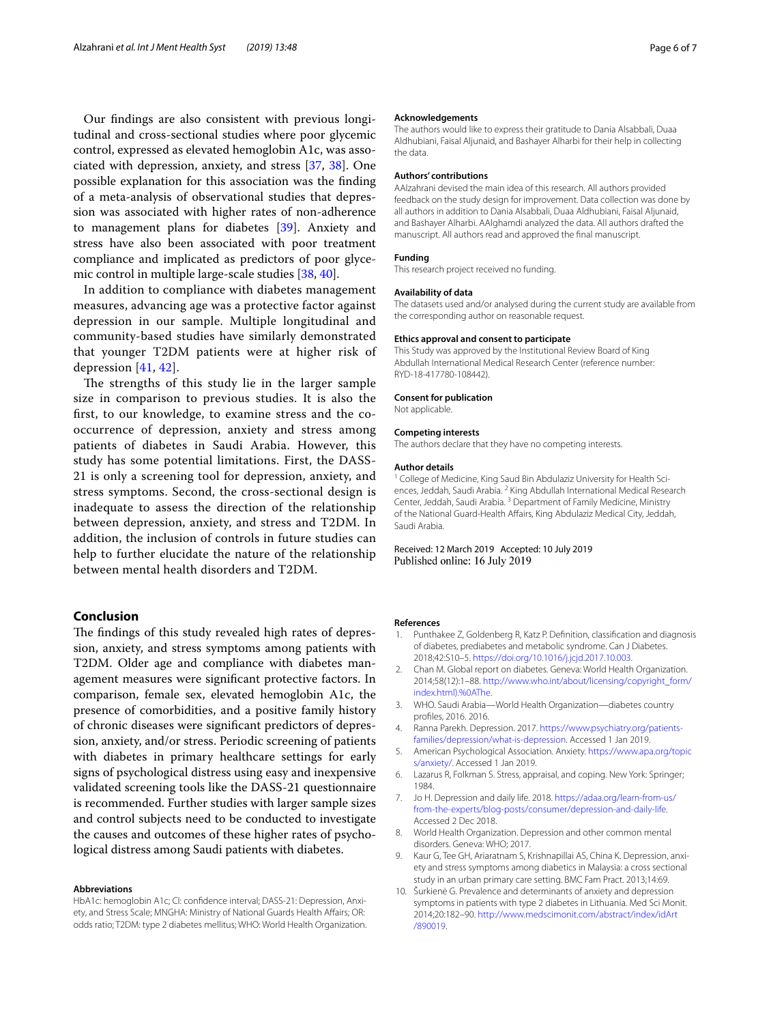Our fndings are also consistent with previous longitudinal and cross-sectional studies where poor glycemic control, expressed as elevated hemoglobin A1c, was associated with depression, anxiety, and stress [[37,](#page-6-17) [38](#page-6-18)]. One possible explanation for this association was the fnding of a meta-analysis of observational studies that depression was associated with higher rates of non-adherence to management plans for diabetes [[39](#page-6-19)]. Anxiety and stress have also been associated with poor treatment compliance and implicated as predictors of poor glycemic control in multiple large-scale studies [[38,](#page-6-18) [40\]](#page-6-20).

In addition to compliance with diabetes management measures, advancing age was a protective factor against depression in our sample. Multiple longitudinal and community-based studies have similarly demonstrated that younger T2DM patients were at higher risk of depression [[41](#page-6-21), [42\]](#page-6-22).

The strengths of this study lie in the larger sample size in comparison to previous studies. It is also the frst, to our knowledge, to examine stress and the cooccurrence of depression, anxiety and stress among patients of diabetes in Saudi Arabia. However, this study has some potential limitations. First, the DASS-21 is only a screening tool for depression, anxiety, and stress symptoms. Second, the cross-sectional design is inadequate to assess the direction of the relationship between depression, anxiety, and stress and T2DM. In addition, the inclusion of controls in future studies can help to further elucidate the nature of the relationship between mental health disorders and T2DM.

## **Conclusion**

The findings of this study revealed high rates of depression, anxiety, and stress symptoms among patients with T2DM. Older age and compliance with diabetes management measures were signifcant protective factors. In comparison, female sex, elevated hemoglobin A1c, the presence of comorbidities, and a positive family history of chronic diseases were signifcant predictors of depression, anxiety, and/or stress. Periodic screening of patients with diabetes in primary healthcare settings for early signs of psychological distress using easy and inexpensive validated screening tools like the DASS-21 questionnaire is recommended. Further studies with larger sample sizes and control subjects need to be conducted to investigate the causes and outcomes of these higher rates of psychological distress among Saudi patients with diabetes.

#### **Abbreviations**

HbA1c: hemoglobin A1c; CI: confdence interval; DASS-21: Depression, Anxiety, and Stress Scale; MNGHA: Ministry of National Guards Health Afairs; OR: odds ratio; T2DM: type 2 diabetes mellitus; WHO: World Health Organization.

#### **Acknowledgements**

The authors would like to express their gratitude to Dania Alsabbali, Duaa Aldhubiani, Faisal Aljunaid, and Bashayer Alharbi for their help in collecting the data.

#### **Authors' contributions**

AAlzahrani devised the main idea of this research. All authors provided feedback on the study design for improvement. Data collection was done by all authors in addition to Dania Alsabbali, Duaa Aldhubiani, Faisal Aljunaid, and Bashayer Alharbi. AAlghamdi analyzed the data. All authors drafted the manuscript. All authors read and approved the fnal manuscript.

## **Funding**

This research project received no funding.

#### **Availability of data**

The datasets used and/or analysed during the current study are available from the corresponding author on reasonable request.

#### **Ethics approval and consent to participate**

This Study was approved by the Institutional Review Board of King Abdullah International Medical Research Center (reference number: RYD-18-417780-108442).

#### **Consent for publication**

Not applicable.

#### **Competing interests**

The authors declare that they have no competing interests.

#### **Author details**

<sup>1</sup> College of Medicine, King Saud Bin Abdulaziz University for Health Sciences, Jeddah, Saudi Arabia. <sup>2</sup> King Abdullah International Medical Research Center, Jeddah, Saudi Arabia. 3 Department of Family Medicine, Ministry of the National Guard-Health Affairs, King Abdulaziz Medical City, Jeddah, Saudi Arabia.

Received: 12 March 2019 Accepted: 10 July 2019 Published online: 16 July 2019

#### **References**

- <span id="page-5-0"></span>1. Punthakee Z, Goldenberg R, Katz P. Defnition, classifcation and diagnosis of diabetes, prediabetes and metabolic syndrome. Can J Diabetes. 2018;42:S10–5. [https://doi.org/10.1016/j.jcjd.2017.10.003.](https://doi.org/10.1016/j.jcjd.2017.10.003)
- <span id="page-5-1"></span>2. Chan M. Global report on diabetes. Geneva: World Health Organization. 2014;58(12):1–88. [http://www.who.int/about/licensing/copyright\\_form/](http://www.who.int/about/licensing/copyright_form/index.html).%250AThe) [index.html\).%0AThe.](http://www.who.int/about/licensing/copyright_form/index.html).%250AThe)
- <span id="page-5-2"></span>3. WHO. Saudi Arabia—World Health Organization—diabetes country profles, 2016. 2016.
- <span id="page-5-3"></span>4. Ranna Parekh. Depression. 2017. [https://www.psychiatry.org/patients](https://www.psychiatry.org/patients-families/depression/what-is-depression)[families/depression/what-is-depression](https://www.psychiatry.org/patients-families/depression/what-is-depression). Accessed 1 Jan 2019.
- <span id="page-5-4"></span>5. American Psychological Association. Anxiety. [https://www.apa.org/topic](https://www.apa.org/topics/anxiety/) [s/anxiety/](https://www.apa.org/topics/anxiety/). Accessed 1 Jan 2019.
- <span id="page-5-5"></span>6. Lazarus R, Folkman S. Stress, appraisal, and coping. New York: Springer; 1984.
- <span id="page-5-6"></span>7. Jo H. Depression and daily life. 2018. [https://adaa.org/learn-from-us/](https://adaa.org/learn-from-us/from-the-experts/blog-posts/consumer/depression-and-daily-life) [from-the-experts/blog-posts/consumer/depression-and-daily-life.](https://adaa.org/learn-from-us/from-the-experts/blog-posts/consumer/depression-and-daily-life) Accessed 2 Dec 2018.
- <span id="page-5-7"></span>8. World Health Organization. Depression and other common mental disorders. Geneva: WHO; 2017.
- <span id="page-5-8"></span>9. Kaur G, Tee GH, Ariaratnam S, Krishnapillai AS, China K. Depression, anxiety and stress symptoms among diabetics in Malaysia: a cross sectional study in an urban primary care setting. BMC Fam Pract. 2013;14:69.
- 10. Šurkienė G. Prevalence and determinants of anxiety and depression symptoms in patients with type 2 diabetes in Lithuania. Med Sci Monit. 2014;20:182–90. [http://www.medscimonit.com/abstract/index/idArt](http://www.medscimonit.com/abstract/index/idArt/890019) [/890019](http://www.medscimonit.com/abstract/index/idArt/890019).